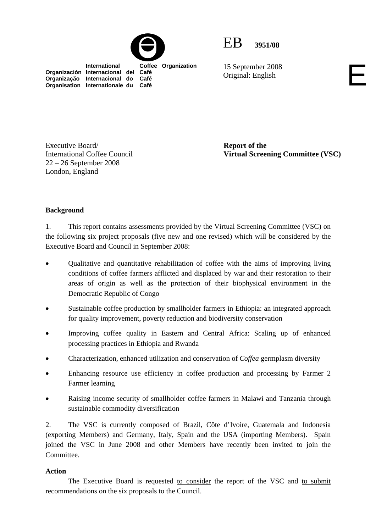



15 September 2008 15 September 2008<br>Original: English

 **International Coffee Organization Organización Internacional del Café Organização Internacional do Café Organisation Internationale du Café**

**Report of the Virtual Screening Committee (VSC)** 

**Background** 

Executive Board/

London, England

International Coffee Council 22 – 26 September 2008

1. This report contains assessments provided by the Virtual Screening Committee (VSC) on the following six project proposals (five new and one revised) which will be considered by the Executive Board and Council in September 2008:

- Qualitative and quantitative rehabilitation of coffee with the aims of improving living conditions of coffee farmers afflicted and displaced by war and their restoration to their areas of origin as well as the protection of their biophysical environment in the Democratic Republic of Congo
- Sustainable coffee production by smallholder farmers in Ethiopia: an integrated approach for quality improvement, poverty reduction and biodiversity conservation
- Improving coffee quality in Eastern and Central Africa: Scaling up of enhanced processing practices in Ethiopia and Rwanda
- Characterization, enhanced utilization and conservation of *Coffea* germplasm diversity
- Enhancing resource use efficiency in coffee production and processing by Farmer 2 Farmer learning
- Raising income security of smallholder coffee farmers in Malawi and Tanzania through sustainable commodity diversification

2. The VSC is currently composed of Brazil, Côte d'Ivoire, Guatemala and Indonesia (exporting Members) and Germany, Italy, Spain and the USA (importing Members). Spain joined the VSC in June 2008 and other Members have recently been invited to join the **Committee** 

#### **Action**

 The Executive Board is requested to consider the report of the VSC and to submit recommendations on the six proposals to the Council.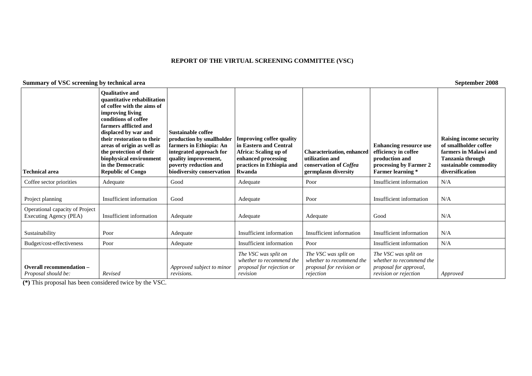#### **REPORT OF THE VIRTUAL SCREENING COMMITTEE (VSC)**

### **Summary of VSC screening by technical area September 2008**

| <b>Technical area</b>                                     | <b>Oualitative and</b><br>quantitative rehabilitation<br>of coffee with the aims of<br>improving living<br>conditions of coffee<br>farmers afflicted and<br>displaced by war and<br>their restoration to their<br>areas of origin as well as<br>the protection of their<br>biophysical environment<br>in the Democratic<br><b>Republic of Congo</b> | Sustainable coffee<br>production by smallholder<br>farmers in Ethiopia: An<br>integrated approach for<br>quality improvement,<br>poverty reduction and<br>biodiversity conservation | <b>Improving coffee quality</b><br>in Eastern and Central<br>Africa: Scaling up of<br>enhanced processing<br>practices in Ethiopia and<br>Rwanda | <b>Characterization, enhanced</b><br>utilization and<br>conservation of Coffea<br>germplasm diversity | <b>Enhancing resource use</b><br>efficiency in coffee<br>production and<br>processing by Farmer 2<br><b>Farmer learning</b> * | Raising income security<br>of smallholder coffee<br>farmers in Malawi and<br><b>Tanzania through</b><br>sustainable commodity<br>diversification |
|-----------------------------------------------------------|-----------------------------------------------------------------------------------------------------------------------------------------------------------------------------------------------------------------------------------------------------------------------------------------------------------------------------------------------------|-------------------------------------------------------------------------------------------------------------------------------------------------------------------------------------|--------------------------------------------------------------------------------------------------------------------------------------------------|-------------------------------------------------------------------------------------------------------|-------------------------------------------------------------------------------------------------------------------------------|--------------------------------------------------------------------------------------------------------------------------------------------------|
| Coffee sector priorities                                  | Adequate                                                                                                                                                                                                                                                                                                                                            | Good                                                                                                                                                                                | Adequate                                                                                                                                         | Poor                                                                                                  | Insufficient information                                                                                                      | N/A                                                                                                                                              |
| Project planning                                          | Insufficient information                                                                                                                                                                                                                                                                                                                            | Good                                                                                                                                                                                | Adequate                                                                                                                                         | Poor                                                                                                  | Insufficient information                                                                                                      | N/A                                                                                                                                              |
| Operational capacity of Project<br>Executing Agency (PEA) | Insufficient information                                                                                                                                                                                                                                                                                                                            | Adequate                                                                                                                                                                            | Adequate                                                                                                                                         | Adequate                                                                                              | Good                                                                                                                          | N/A                                                                                                                                              |
| Sustainability                                            | Poor                                                                                                                                                                                                                                                                                                                                                | Adequate                                                                                                                                                                            | Insufficient information                                                                                                                         | Insufficient information                                                                              | Insufficient information                                                                                                      | N/A                                                                                                                                              |
| Budget/cost-effectiveness                                 | Poor                                                                                                                                                                                                                                                                                                                                                | Adequate                                                                                                                                                                            | Insufficient information                                                                                                                         | Poor                                                                                                  | Insufficient information                                                                                                      | N/A                                                                                                                                              |
| <b>Overall recommendation -</b><br>Proposal should be:    | Revised                                                                                                                                                                                                                                                                                                                                             | Approved subject to minor<br>revisions.                                                                                                                                             | The VSC was split on<br>whether to recommend the<br>proposal for rejection or<br>revision                                                        | The VSC was split on<br>whether to recommend the<br>proposal for revision or<br>rejection             | The VSC was split on<br>whether to recommend the<br>proposal for approval,<br>revision or rejection                           | Approved                                                                                                                                         |

**(\*)** This proposal has been considered twice by the VSC.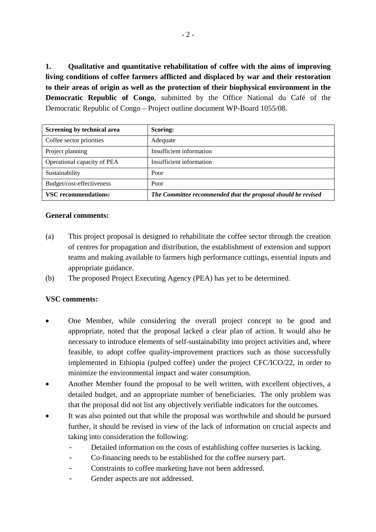**1. Qualitative and quantitative rehabilitation of coffee with the aims of improving living conditions of coffee farmers afflicted and displaced by war and their restoration to their areas of origin as well as the protection of their biophysical environment in the Democratic Republic of Congo**, submitted by the Office National du Café of the Democratic Republic of Congo – Project outline document WP-Board 1055/08.

| Screening by technical area | <b>Scoring:</b>                                               |  |
|-----------------------------|---------------------------------------------------------------|--|
| Coffee sector priorities    | Adequate                                                      |  |
| Project planning            | Insufficient information                                      |  |
| Operational capacity of PEA | Insufficient information                                      |  |
| Sustainability              | Poor                                                          |  |
| Budget/cost-effectiveness   | Poor                                                          |  |
| <b>VSC</b> recommendations: | The Committee recommended that the proposal should be revised |  |

## **General comments:**

- (a) This project proposal is designed to rehabilitate the coffee sector through the creation of centres for propagation and distribution, the establishment of extension and support teams and making available to farmers high performance cuttings, essential inputs and appropriate guidance.
- (b) The proposed Project Executing Agency (PEA) has yet to be determined.

- One Member, while considering the overall project concept to be good and appropriate, noted that the proposal lacked a clear plan of action. It would also be necessary to introduce elements of self-sustainability into project activities and, where feasible, to adopt coffee quality-improvement practices such as those successfully implemented in Ethiopia (pulped coffee) under the project CFC/ICO/22, in order to minimize the environmental impact and water consumption.
- Another Member found the proposal to be well written, with excellent objectives, a detailed budget, and an appropriate number of beneficiaries. The only problem was that the proposal did not list any objectively verifiable indicators for the outcomes.
- It was also pointed out that while the proposal was worthwhile and should be pursued further, it should be revised in view of the lack of information on crucial aspects and taking into consideration the following:
	- Detailed information on the costs of establishing coffee nurseries is lacking.
	- Co-financing needs to be established for the coffee nursery part.
	- Constraints to coffee marketing have not been addressed.
	- Gender aspects are not addressed.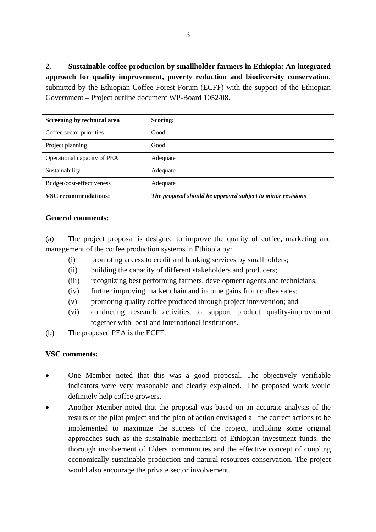**2. Sustainable coffee production by smallholder farmers in Ethiopia: An integrated approach for quality improvement, poverty reduction and biodiversity conservation**, submitted by the Ethiopian Coffee Forest Forum (ECFF) with the support of the Ethiopian Government **–** Project outline document WP-Board 1052/08.

| Screening by technical area | Scoring:                                                   |
|-----------------------------|------------------------------------------------------------|
| Coffee sector priorities    | Good                                                       |
| Project planning            | Good                                                       |
| Operational capacity of PEA | Adequate                                                   |
| Sustainability              | Adequate                                                   |
| Budget/cost-effectiveness   | Adequate                                                   |
| <b>VSC</b> recommendations: | The proposal should be approved subject to minor revisions |

## **General comments:**

(a) The project proposal is designed to improve the quality of coffee, marketing and management of the coffee production systems in Ethiopia by:

- (i) promoting access to credit and banking services by smallholders;
- (ii) building the capacity of different stakeholders and producers;
- (iii) recognizing best performing farmers, development agents and technicians;
- (iv) further improving market chain and income gains from coffee sales;
- (v) promoting quality coffee produced through project intervention; and
- (vi) conducting research activities to support product quality-improvement together with local and international institutions.
- (b) The proposed PEA is the ECFF.

- One Member noted that this was a good proposal. The objectively verifiable indicators were very reasonable and clearly explained. The proposed work would definitely help coffee growers.
- Another Member noted that the proposal was based on an accurate analysis of the results of the pilot project and the plan of action envisaged all the correct actions to be implemented to maximize the success of the project, including some original approaches such as the sustainable mechanism of Ethiopian investment funds, the thorough involvement of Elders' communities and the effective concept of coupling economically sustainable production and natural resources conservation. The project would also encourage the private sector involvement.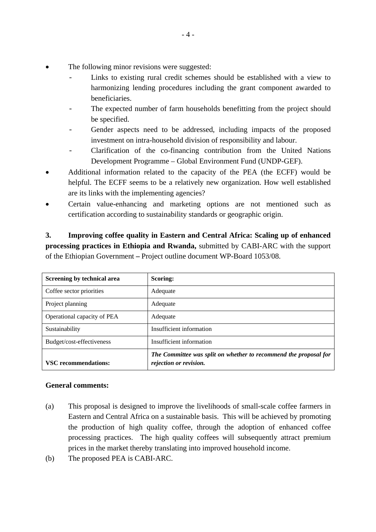- The following minor revisions were suggested:
	- Links to existing rural credit schemes should be established with a view to harmonizing lending procedures including the grant component awarded to beneficiaries.
	- The expected number of farm households benefitting from the project should be specified.
	- Gender aspects need to be addressed, including impacts of the proposed investment on intra-household division of responsibility and labour.
	- Clarification of the co-financing contribution from the United Nations Development Programme – Global Environment Fund (UNDP-GEF).
- Additional information related to the capacity of the PEA (the ECFF) would be helpful. The ECFF seems to be a relatively new organization. How well established are its links with the implementing agencies?
- Certain value-enhancing and marketing options are not mentioned such as certification according to sustainability standards or geographic origin.

**3. Improving coffee quality in Eastern and Central Africa: Scaling up of enhanced processing practices in Ethiopia and Rwanda,** submitted by CABI-ARC with the support of the Ethiopian Government **–** Project outline document WP-Board 1053/08.

| Screening by technical area | <b>Scoring:</b>                                                                            |
|-----------------------------|--------------------------------------------------------------------------------------------|
| Coffee sector priorities    | Adequate                                                                                   |
| Project planning            | Adequate                                                                                   |
| Operational capacity of PEA | Adequate                                                                                   |
| Sustainability              | Insufficient information                                                                   |
| Budget/cost-effectiveness   | Insufficient information                                                                   |
| <b>VSC</b> recommendations: | The Committee was split on whether to recommend the proposal for<br>rejection or revision. |

# **General comments:**

- (a) This proposal is designed to improve the livelihoods of small-scale coffee farmers in Eastern and Central Africa on a sustainable basis. This will be achieved by promoting the production of high quality coffee, through the adoption of enhanced coffee processing practices. The high quality coffees will subsequently attract premium prices in the market thereby translating into improved household income.
- (b) The proposed PEA is CABI-ARC.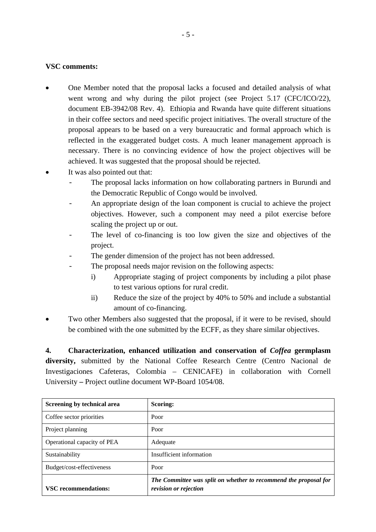## **VSC comments:**

- One Member noted that the proposal lacks a focused and detailed analysis of what went wrong and why during the pilot project (see Project 5.17 (CFC/ICO/22), document EB-3942/08 Rev. 4). Ethiopia and Rwanda have quite different situations in their coffee sectors and need specific project initiatives. The overall structure of the proposal appears to be based on a very bureaucratic and formal approach which is reflected in the exaggerated budget costs. A much leaner management approach is necessary. There is no convincing evidence of how the project objectives will be achieved. It was suggested that the proposal should be rejected.
- It was also pointed out that:
	- The proposal lacks information on how collaborating partners in Burundi and the Democratic Republic of Congo would be involved.
	- An appropriate design of the loan component is crucial to achieve the project objectives. However, such a component may need a pilot exercise before scaling the project up or out.
	- The level of co-financing is too low given the size and objectives of the project.
	- The gender dimension of the project has not been addressed.
	- The proposal needs major revision on the following aspects:
		- i) Appropriate staging of project components by including a pilot phase to test various options for rural credit.
		- ii) Reduce the size of the project by 40% to 50% and include a substantial amount of co-financing.
- Two other Members also suggested that the proposal, if it were to be revised, should be combined with the one submitted by the ECFF, as they share similar objectives.

**4. Characterization, enhanced utilization and conservation of** *Coffea* **germplasm diversity,** submitted by the National Coffee Research Centre (Centro Nacional de Investigaciones Cafeteras, Colombia – CENICAFE) in collaboration with Cornell University **–** Project outline document WP-Board 1054/08.

| Screening by technical area | Scoring:                                                                                  |  |
|-----------------------------|-------------------------------------------------------------------------------------------|--|
| Coffee sector priorities    | Poor                                                                                      |  |
| Project planning            | Poor                                                                                      |  |
| Operational capacity of PEA | Adequate                                                                                  |  |
| Sustainability              | Insufficient information                                                                  |  |
| Budget/cost-effectiveness   | Poor                                                                                      |  |
| <b>VSC</b> recommendations: | The Committee was split on whether to recommend the proposal for<br>revision or rejection |  |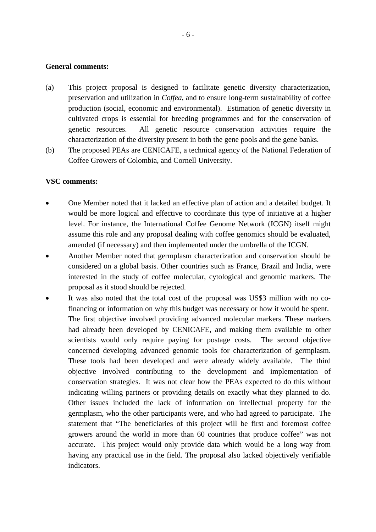### **General comments:**

- (a) This project proposal is designed to facilitate genetic diversity characterization, preservation and utilization in *Coffea*, and to ensure long-term sustainability of coffee production (social, economic and environmental). Estimation of genetic diversity in cultivated crops is essential for breeding programmes and for the conservation of genetic resources. All genetic resource conservation activities require the characterization of the diversity present in both the gene pools and the gene banks.
- (b) The proposed PEAs are CENICAFE, a technical agency of the National Federation of Coffee Growers of Colombia, and Cornell University.

- One Member noted that it lacked an effective plan of action and a detailed budget. It would be more logical and effective to coordinate this type of initiative at a higher level. For instance, the International Coffee Genome Network (ICGN) itself might assume this role and any proposal dealing with coffee genomics should be evaluated, amended (if necessary) and then implemented under the umbrella of the ICGN.
- Another Member noted that germplasm characterization and conservation should be considered on a global basis. Other countries such as France, Brazil and India, were interested in the study of coffee molecular, cytological and genomic markers. The proposal as it stood should be rejected.
- It was also noted that the total cost of the proposal was US\$3 million with no cofinancing or information on why this budget was necessary or how it would be spent. The first objective involved providing advanced molecular markers. These markers had already been developed by CENICAFE, and making them available to other scientists would only require paying for postage costs. The second objective concerned developing advanced genomic tools for characterization of germplasm. These tools had been developed and were already widely available. The third objective involved contributing to the development and implementation of conservation strategies. It was not clear how the PEAs expected to do this without indicating willing partners or providing details on exactly what they planned to do. Other issues included the lack of information on intellectual property for the germplasm, who the other participants were, and who had agreed to participate. The statement that "The beneficiaries of this project will be first and foremost coffee growers around the world in more than 60 countries that produce coffee" was not accurate. This project would only provide data which would be a long way from having any practical use in the field. The proposal also lacked objectively verifiable indicators.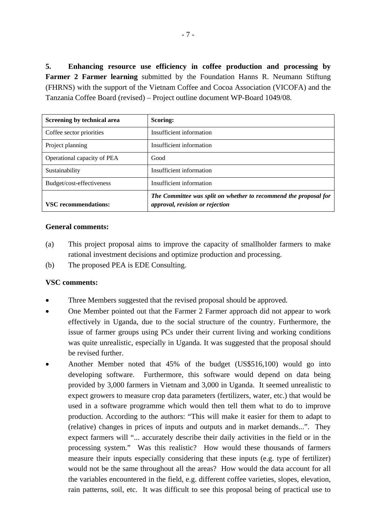**5. Enhancing resource use efficiency in coffee production and processing by Farmer 2 Farmer learning** submitted by the Foundation Hanns R. Neumann Stiftung (FHRNS) with the support of the Vietnam Coffee and Cocoa Association (VICOFA) and the Tanzania Coffee Board (revised) – Project outline document WP-Board 1049/08.

| Screening by technical area | <b>Scoring:</b>                                                                                     |  |  |
|-----------------------------|-----------------------------------------------------------------------------------------------------|--|--|
| Coffee sector priorities    | Insufficient information                                                                            |  |  |
| Project planning            | Insufficient information                                                                            |  |  |
| Operational capacity of PEA | Good                                                                                                |  |  |
| Sustainability              | Insufficient information                                                                            |  |  |
| Budget/cost-effectiveness   | Insufficient information                                                                            |  |  |
| <b>VSC</b> recommendations: | The Committee was split on whether to recommend the proposal for<br>approval, revision or rejection |  |  |

### **General comments:**

- (a) This project proposal aims to improve the capacity of smallholder farmers to make rational investment decisions and optimize production and processing.
- (b) The proposed PEA is EDE Consulting.

- Three Members suggested that the revised proposal should be approved.
- One Member pointed out that the Farmer 2 Farmer approach did not appear to work effectively in Uganda, due to the social structure of the country. Furthermore, the issue of farmer groups using PCs under their current living and working conditions was quite unrealistic, especially in Uganda. It was suggested that the proposal should be revised further.
- Another Member noted that 45% of the budget (US\$516,100) would go into developing software. Furthermore, this software would depend on data being provided by 3,000 farmers in Vietnam and 3,000 in Uganda. It seemed unrealistic to expect growers to measure crop data parameters (fertilizers, water, etc.) that would be used in a software programme which would then tell them what to do to improve production. According to the authors: "This will make it easier for them to adapt to (relative) changes in prices of inputs and outputs and in market demands...". They expect farmers will "... accurately describe their daily activities in the field or in the processing system." Was this realistic? How would these thousands of farmers measure their inputs especially considering that these inputs (e.g. type of fertilizer) would not be the same throughout all the areas? How would the data account for all the variables encountered in the field, e.g. different coffee varieties, slopes, elevation, rain patterns, soil, etc. It was difficult to see this proposal being of practical use to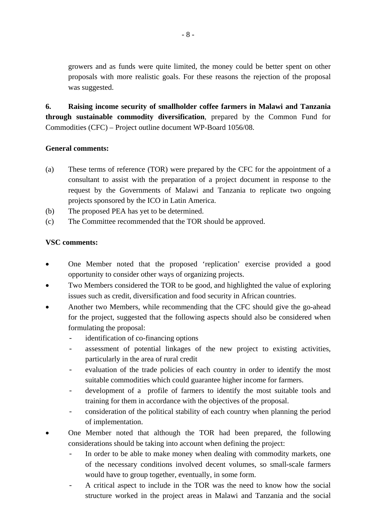growers and as funds were quite limited, the money could be better spent on other proposals with more realistic goals. For these reasons the rejection of the proposal was suggested.

**6. Raising income security of smallholder coffee farmers in Malawi and Tanzania through sustainable commodity diversification**, prepared by the Common Fund for Commodities (CFC) – Project outline document WP-Board 1056/08.

## **General comments:**

- (a) These terms of reference (TOR) were prepared by the CFC for the appointment of a consultant to assist with the preparation of a project document in response to the request by the Governments of Malawi and Tanzania to replicate two ongoing projects sponsored by the ICO in Latin America.
- (b) The proposed PEA has yet to be determined.
- (c) The Committee recommended that the TOR should be approved.

- One Member noted that the proposed 'replication' exercise provided a good opportunity to consider other ways of organizing projects.
- Two Members considered the TOR to be good, and highlighted the value of exploring issues such as credit, diversification and food security in African countries.
- Another two Members, while recommending that the CFC should give the go-ahead for the project, suggested that the following aspects should also be considered when formulating the proposal:
	- identification of co-financing options
	- assessment of potential linkages of the new project to existing activities, particularly in the area of rural credit
	- evaluation of the trade policies of each country in order to identify the most suitable commodities which could guarantee higher income for farmers.
	- development of a profile of farmers to identify the most suitable tools and training for them in accordance with the objectives of the proposal.
	- consideration of the political stability of each country when planning the period of implementation.
- One Member noted that although the TOR had been prepared, the following considerations should be taking into account when defining the project:
	- In order to be able to make money when dealing with commodity markets, one of the necessary conditions involved decent volumes, so small-scale farmers would have to group together, eventually, in some form.
	- A critical aspect to include in the TOR was the need to know how the social structure worked in the project areas in Malawi and Tanzania and the social